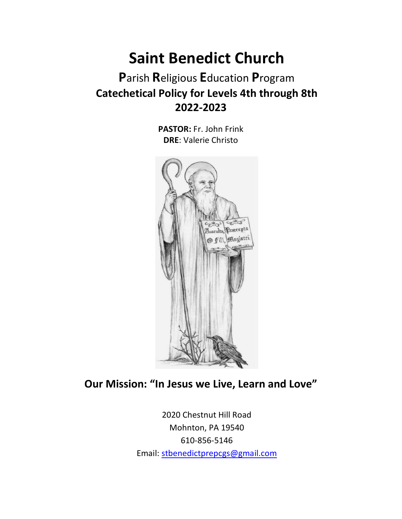# **Saint Benedict Church**

## **P**arish **R**eligious **E**ducation **P**rogram **Catechetical Policy for Levels 4th through 8th 2022-2023**

**PASTOR:** Fr. John Frink **DRE**: Valerie Christo



### **Our Mission: "In Jesus we Live, Learn and Love"**

2020 Chestnut Hill Road Mohnton, PA 19540 610-856-5146 Email: [stbenedictprepcgs@gmail.com](mailto:stbenedictprepcgs@gmail.com)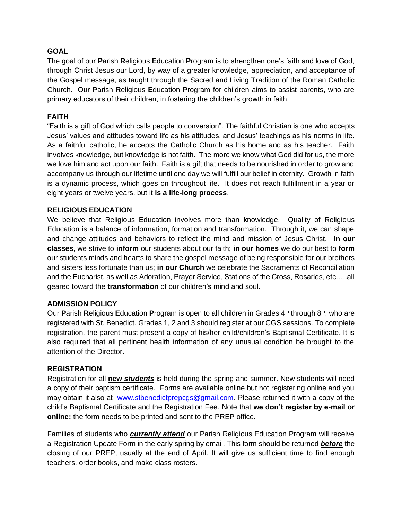#### **GOAL**

The goal of our **P**arish **R**eligious **E**ducation **P**rogram is to strengthen one's faith and love of God, through Christ Jesus our Lord, by way of a greater knowledge, appreciation, and acceptance of the Gospel message, as taught through the Sacred and Living Tradition of the Roman Catholic Church. Our **P**arish **R**eligious **E**ducation **P**rogram for children aims to assist parents, who are primary educators of their children, in fostering the children's growth in faith.

#### **FAITH**

"Faith is a gift of God which calls people to conversion". The faithful Christian is one who accepts Jesus' values and attitudes toward life as his attitudes, and Jesus' teachings as his norms in life. As a faithful catholic, he accepts the Catholic Church as his home and as his teacher. Faith involves knowledge, but knowledge is not faith. The more we know what God did for us, the more we love him and act upon our faith. Faith is a gift that needs to be nourished in order to grow and accompany us through our lifetime until one day we will fulfill our belief in eternity. Growth in faith is a dynamic process, which goes on throughout life. It does not reach fulfillment in a year or eight years or twelve years, but it **is a life-long process**.

#### **RELIGIOUS EDUCATION**

We believe that Religious Education involves more than knowledge. Quality of Religious Education is a balance of information, formation and transformation. Through it, we can shape and change attitudes and behaviors to reflect the mind and mission of Jesus Christ. **In our classes**, we strive to **inform** our students about our faith; **in our homes** we do our best to **form** our students minds and hearts to share the gospel message of being responsible for our brothers and sisters less fortunate than us; **in our Church** we celebrate the Sacraments of Reconciliation and the Eucharist, as well as Adoration, Prayer Service, Stations of the Cross, Rosaries, etc…..all geared toward the **transformation** of our children's mind and soul.

#### **ADMISSION POLICY**

Our Parish Religious Education Program is open to all children in Grades 4<sup>th</sup> through 8<sup>th</sup>, who are registered with St. Benedict. Grades 1, 2 and 3 should register at our CGS sessions. To complete registration, the parent must present a copy of his/her child/children's Baptismal Certificate. It is also required that all pertinent health information of any unusual condition be brought to the attention of the Director.

#### **REGISTRATION**

Registration for all **new** *students* is held during the spring and summer. New students will need a copy of their baptism certificate. Forms are available online but not registering online and you may obtain it also at [www.stbenedictprepcgs@gmail.com.](http://www.stbenedictprepcgs@gmail.com) Please returned it with a copy of the child's Baptismal Certificate and the Registration Fee. Note that **we don't register by e-mail or online;** the form needs to be printed and sent to the PREP office.

Families of students who *currently attend* our Parish Religious Education Program will receive a Registration Update Form in the early spring by email. This form should be returned *before* the closing of our PREP, usually at the end of April. It will give us sufficient time to find enough teachers, order books, and make class rosters.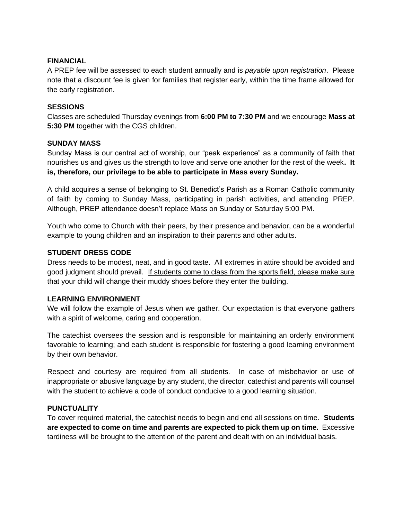#### **FINANCIAL**

A PREP fee will be assessed to each student annually and is *payable upon registration*. Please note that a discount fee is given for families that register early, within the time frame allowed for the early registration.

#### **SESSIONS**

Classes are scheduled Thursday evenings from **6:00 PM to 7:30 PM** and we encourage **Mass at 5:30 PM** together with the CGS children.

#### **SUNDAY MASS**

Sunday Mass is our central act of worship, our "peak experience" as a community of faith that nourishes us and gives us the strength to love and serve one another for the rest of the week**. It is, therefore, our privilege to be able to participate in Mass every Sunday.**

A child acquires a sense of belonging to St. Benedict's Parish as a Roman Catholic community of faith by coming to Sunday Mass, participating in parish activities, and attending PREP. Although, PREP attendance doesn't replace Mass on Sunday or Saturday 5:00 PM.

Youth who come to Church with their peers, by their presence and behavior, can be a wonderful example to young children and an inspiration to their parents and other adults.

#### **STUDENT DRESS CODE**

Dress needs to be modest, neat, and in good taste. All extremes in attire should be avoided and good judgment should prevail. If students come to class from the sports field, please make sure that your child will change their muddy shoes before they enter the building.

#### **LEARNING ENVIRONMENT**

We will follow the example of Jesus when we gather. Our expectation is that everyone gathers with a spirit of welcome, caring and cooperation.

The catechist oversees the session and is responsible for maintaining an orderly environment favorable to learning; and each student is responsible for fostering a good learning environment by their own behavior.

Respect and courtesy are required from all students. In case of misbehavior or use of inappropriate or abusive language by any student, the director, catechist and parents will counsel with the student to achieve a code of conduct conducive to a good learning situation.

#### **PUNCTUALITY**

To cover required material, the catechist needs to begin and end all sessions on time. **Students are expected to come on time and parents are expected to pick them up on time.** Excessive tardiness will be brought to the attention of the parent and dealt with on an individual basis.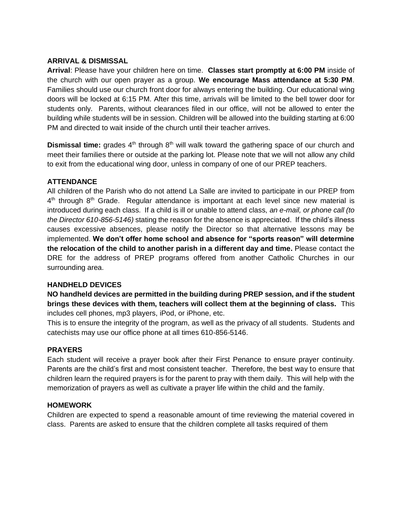#### **ARRIVAL & DISMISSAL**

**Arrival**: Please have your children here on time. **Classes start promptly at 6:00 PM** inside of the church with our open prayer as a group. **We encourage Mass attendance at 5:30 PM**. Families should use our church front door for always entering the building. Our educational wing doors will be locked at 6:15 PM. After this time, arrivals will be limited to the bell tower door for students only. Parents, without clearances filed in our office, will not be allowed to enter the building while students will be in session. Children will be allowed into the building starting at 6:00 PM and directed to wait inside of the church until their teacher arrives.

**Dismissal time:** grades 4<sup>th</sup> through 8<sup>th</sup> will walk toward the gathering space of our church and meet their families there or outside at the parking lot. Please note that we will not allow any child to exit from the educational wing door, unless in company of one of our PREP teachers.

#### **ATTENDANCE**

All children of the Parish who do not attend La Salle are invited to participate in our PREP from  $4<sup>th</sup>$  through  $8<sup>th</sup>$  Grade. Regular attendance is important at each level since new material is introduced during each class. If a child is ill or unable to attend class, *an e-mail, or phone call (to the Director 610-856-5146)* stating the reason for the absence is appreciated. If the child's illness causes excessive absences, please notify the Director so that alternative lessons may be implemented. **We don't offer home school and absence for "sports reason" will determine the relocation of the child to another parish in a different day and time.** Please contact the DRE for the address of PREP programs offered from another Catholic Churches in our surrounding area.

#### **HANDHELD DEVICES**

**NO handheld devices are permitted in the building during PREP session, and if the student brings these devices with them, teachers will collect them at the beginning of class.** This includes cell phones, mp3 players, iPod, or iPhone, etc.

This is to ensure the integrity of the program, as well as the privacy of all students. Students and catechists may use our office phone at all times 610-856-5146.

#### **PRAYERS**

Each student will receive a prayer book after their First Penance to ensure prayer continuity. Parents are the child's first and most consistent teacher. Therefore, the best way to ensure that children learn the required prayers is for the parent to pray with them daily. This will help with the memorization of prayers as well as cultivate a prayer life within the child and the family.

#### **HOMEWORK**

Children are expected to spend a reasonable amount of time reviewing the material covered in class. Parents are asked to ensure that the children complete all tasks required of them